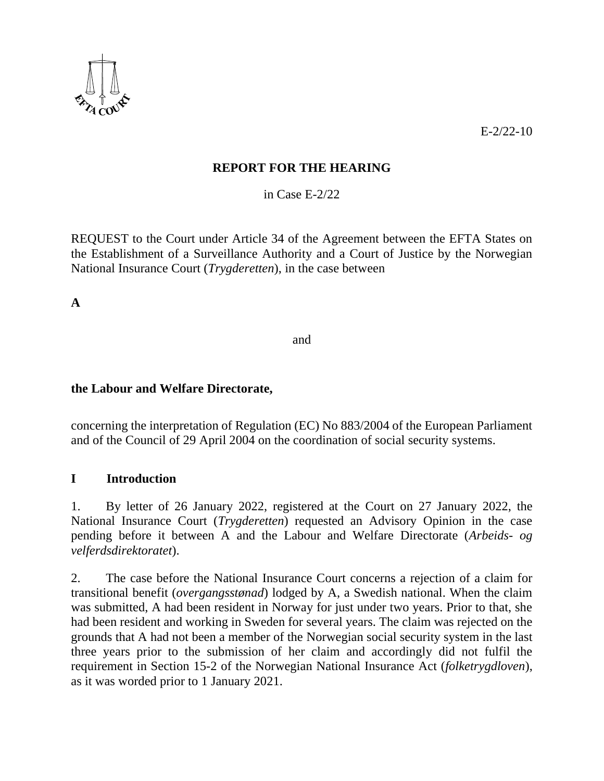

E-2/22-10

## **REPORT FOR THE HEARING**

in Case E-2/22

REQUEST to the Court under Article 34 of the Agreement between the EFTA States on the Establishment of a Surveillance Authority and a Court of Justice by the Norwegian National Insurance Court (*Trygderetten*), in the case between

**A**

and

### **the Labour and Welfare Directorate,**

concerning the interpretation of Regulation (EC) No 883/2004 of the European Parliament and of the Council of 29 April 2004 on the coordination of social security systems.

## **I Introduction**

1. By letter of 26 January 2022, registered at the Court on 27 January 2022, the National Insurance Court (*Trygderetten*) requested an Advisory Opinion in the case pending before it between A and the Labour and Welfare Directorate (*Arbeids- og velferdsdirektoratet*).

2. The case before the National Insurance Court concerns a rejection of a claim for transitional benefit (*overgangsstønad*) lodged by A, a Swedish national. When the claim was submitted, A had been resident in Norway for just under two years. Prior to that, she had been resident and working in Sweden for several years. The claim was rejected on the grounds that A had not been a member of the Norwegian social security system in the last three years prior to the submission of her claim and accordingly did not fulfil the requirement in Section 15-2 of the Norwegian National Insurance Act (*folketrygdloven*), as it was worded prior to 1 January 2021.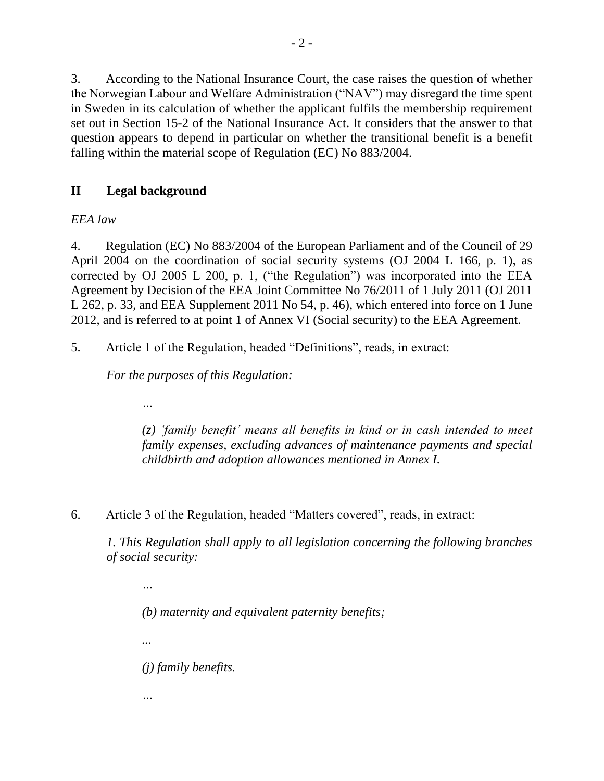3. According to the National Insurance Court, the case raises the question of whether the Norwegian Labour and Welfare Administration ("NAV") may disregard the time spent in Sweden in its calculation of whether the applicant fulfils the membership requirement set out in Section 15-2 of the National Insurance Act. It considers that the answer to that question appears to depend in particular on whether the transitional benefit is a benefit falling within the material scope of Regulation (EC) No 883/2004.

# **II Legal background**

*…*

*…*

# *EEA law*

4. Regulation (EC) No 883/2004 of the European Parliament and of the Council of 29 April 2004 on the coordination of social security systems (OJ 2004 L 166, p. 1), as corrected by OJ 2005 L 200, p. 1, ("the Regulation") was incorporated into the EEA Agreement by Decision of the EEA Joint Committee No 76/2011 of 1 July 2011 (OJ 2011 L 262, p. 33, and EEA Supplement 2011 No 54, p. 46), which entered into force on 1 June 2012, and is referred to at point 1 of Annex VI (Social security) to the EEA Agreement.

5. Article 1 of the Regulation, headed "Definitions", reads, in extract:

*For the purposes of this Regulation:*

*(z) 'family benefit' means all benefits in kind or in cash intended to meet family expenses, excluding advances of maintenance payments and special childbirth and adoption allowances mentioned in Annex I.*

6. Article 3 of the Regulation, headed "Matters covered", reads, in extract:

*1. This Regulation shall apply to all legislation concerning the following branches of social security:* 

*… (b) maternity and equivalent paternity benefits; ... (j) family benefits.*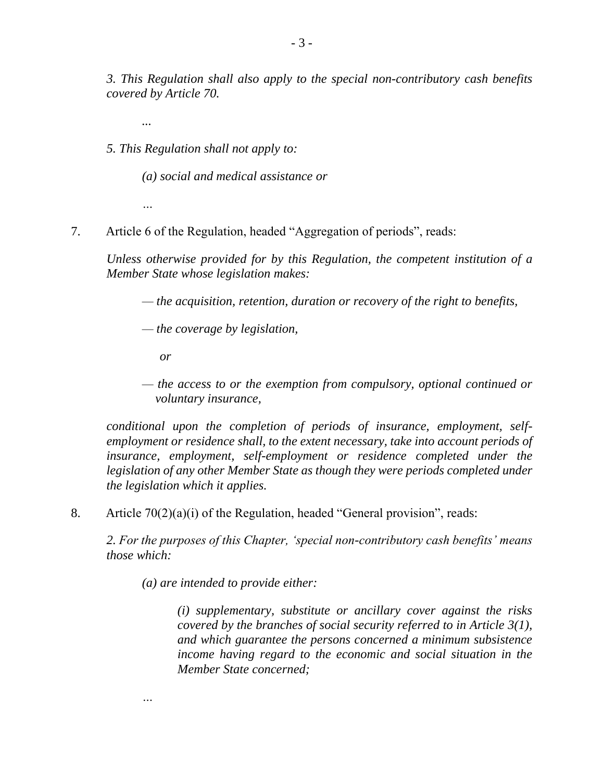*3. This Regulation shall also apply to the special non-contributory cash benefits covered by Article 70.*

*...* 

*5. This Regulation shall not apply to:* 

*(a) social and medical assistance or* 

*…*

7. Article 6 of the Regulation, headed "Aggregation of periods", reads:

*Unless otherwise provided for by this Regulation, the competent institution of a Member State whose legislation makes:*

- *— the acquisition, retention, duration or recovery of the right to benefits,*
- *— the coverage by legislation,*
	- *or*

*…*

*— the access to or the exemption from compulsory, optional continued or voluntary insurance,*

*conditional upon the completion of periods of insurance, employment, selfemployment or residence shall, to the extent necessary, take into account periods of insurance, employment, self-employment or residence completed under the legislation of any other Member State as though they were periods completed under the legislation which it applies.*

8. Article 70(2)(a)(i) of the Regulation, headed "General provision", reads:

*2. For the purposes of this Chapter, 'special non-contributory cash benefits' means those which:*

*(a) are intended to provide either:*

*(i) supplementary, substitute or ancillary cover against the risks covered by the branches of social security referred to in Article 3(1), and which guarantee the persons concerned a minimum subsistence income having regard to the economic and social situation in the Member State concerned;*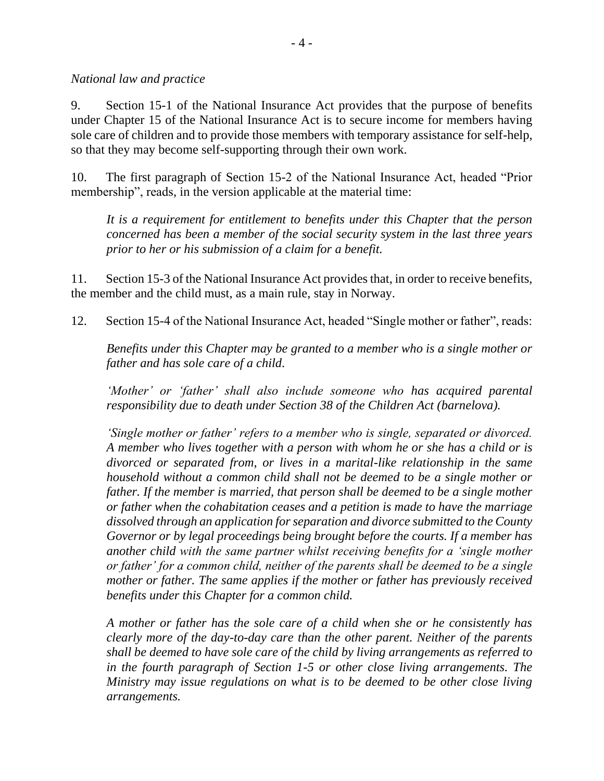*National law and practice*

9. Section 15-1 of the National Insurance Act provides that the purpose of benefits under Chapter 15 of the National Insurance Act is to secure income for members having sole care of children and to provide those members with temporary assistance for self-help, so that they may become self-supporting through their own work.

10. The first paragraph of Section 15-2 of the National Insurance Act, headed "Prior membership", reads, in the version applicable at the material time:

*It is a requirement for entitlement to benefits under this Chapter that the person concerned has been a member of the social security system in the last three years prior to her or his submission of a claim for a benefit.*

11. Section 15-3 of the National Insurance Act provides that, in order to receive benefits, the member and the child must, as a main rule, stay in Norway.

12. Section 15-4 of the National Insurance Act, headed "Single mother or father", reads:

*Benefits under this Chapter may be granted to a member who is a single mother or father and has sole care of a child.*

*'Mother' or 'father' shall also include someone who has acquired parental responsibility due to death under Section 38 of the Children Act (barnelova).*

*'Single mother or father' refers to a member who is single, separated or divorced. A member who lives together with a person with whom he or she has a child or is divorced or separated from, or lives in a marital-like relationship in the same household without a common child shall not be deemed to be a single mother or father. If the member is married, that person shall be deemed to be a single mother or father when the cohabitation ceases and a petition is made to have the marriage dissolved through an application for separation and divorce submitted to the County Governor or by legal proceedings being brought before the courts. If a member has another child with the same partner whilst receiving benefits for a 'single mother or father' for a common child, neither of the parents shall be deemed to be a single mother or father. The same applies if the mother or father has previously received benefits under this Chapter for a common child.*

*A mother or father has the sole care of a child when she or he consistently has clearly more of the day-to-day care than the other parent. Neither of the parents shall be deemed to have sole care of the child by living arrangements as referred to in the fourth paragraph of Section 1-5 or other close living arrangements. The Ministry may issue regulations on what is to be deemed to be other close living arrangements.*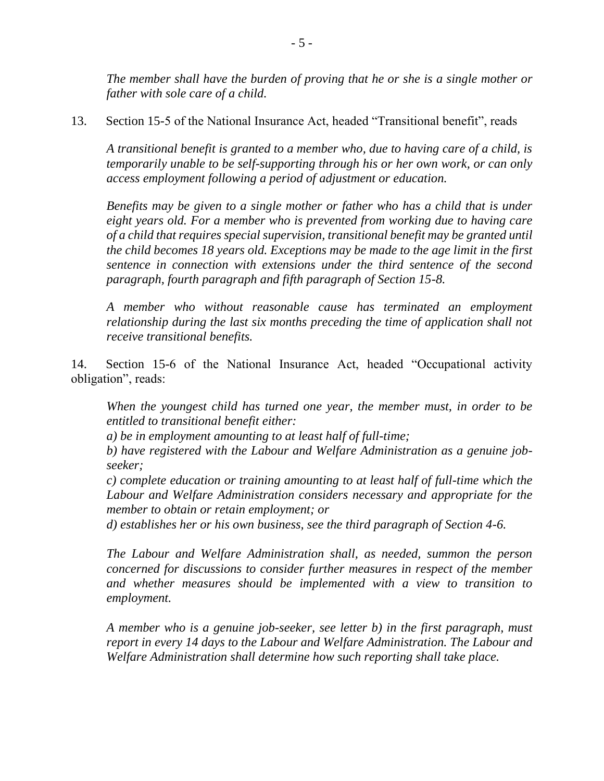*The member shall have the burden of proving that he or she is a single mother or father with sole care of a child.*

13. Section 15-5 of the National Insurance Act, headed "Transitional benefit", reads

*A transitional benefit is granted to a member who, due to having care of a child, is temporarily unable to be self-supporting through his or her own work, or can only access employment following a period of adjustment or education.*

*Benefits may be given to a single mother or father who has a child that is under eight years old. For a member who is prevented from working due to having care of a child that requires special supervision, transitional benefit may be granted until the child becomes 18 years old. Exceptions may be made to the age limit in the first sentence in connection with extensions under the third sentence of the second paragraph, fourth paragraph and fifth paragraph of Section 15-8.*

*A member who without reasonable cause has terminated an employment relationship during the last six months preceding the time of application shall not receive transitional benefits.*

14. Section 15-6 of the National Insurance Act, headed "Occupational activity obligation", reads:

*When the youngest child has turned one year, the member must, in order to be entitled to transitional benefit either:*

*a) be in employment amounting to at least half of full-time;*

*b) have registered with the Labour and Welfare Administration as a genuine jobseeker;*

*c) complete education or training amounting to at least half of full-time which the Labour and Welfare Administration considers necessary and appropriate for the member to obtain or retain employment; or*

*d) establishes her or his own business, see the third paragraph of Section 4-6.*

*The Labour and Welfare Administration shall, as needed, summon the person concerned for discussions to consider further measures in respect of the member and whether measures should be implemented with a view to transition to employment.*

*A member who is a genuine job-seeker, see letter b) in the first paragraph, must report in every 14 days to the Labour and Welfare Administration. The Labour and Welfare Administration shall determine how such reporting shall take place.*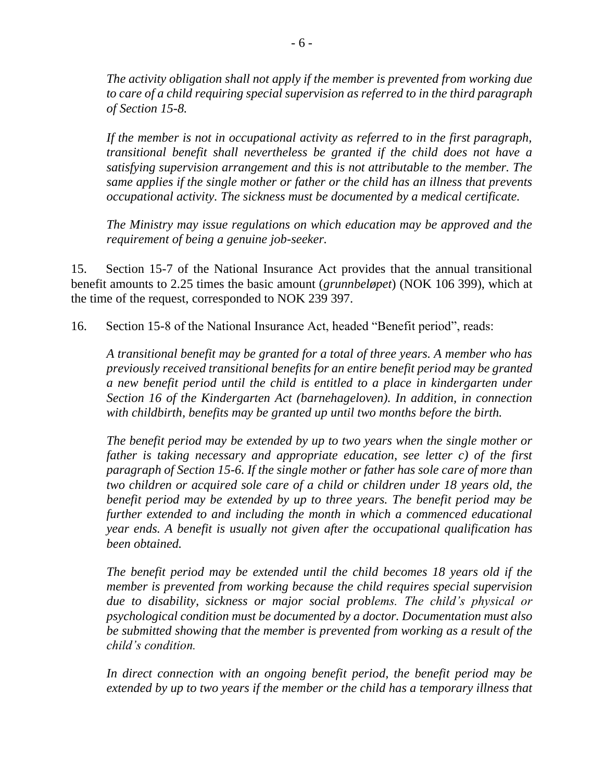*The activity obligation shall not apply if the member is prevented from working due to care of a child requiring special supervision as referred to in the third paragraph of Section 15-8.* 

*If the member is not in occupational activity as referred to in the first paragraph, transitional benefit shall nevertheless be granted if the child does not have a satisfying supervision arrangement and this is not attributable to the member. The same applies if the single mother or father or the child has an illness that prevents occupational activity. The sickness must be documented by a medical certificate.*

*The Ministry may issue regulations on which education may be approved and the requirement of being a genuine job-seeker.*

15. Section 15-7 of the National Insurance Act provides that the annual transitional benefit amounts to 2.25 times the basic amount (*grunnbeløpet*) (NOK 106 399), which at the time of the request, corresponded to NOK 239 397.

16. Section 15-8 of the National Insurance Act, headed "Benefit period", reads:

*A transitional benefit may be granted for a total of three years. A member who has previously received transitional benefits for an entire benefit period may be granted a new benefit period until the child is entitled to a place in kindergarten under Section 16 of the Kindergarten Act (barnehageloven). In addition, in connection with childbirth, benefits may be granted up until two months before the birth.*

*The benefit period may be extended by up to two years when the single mother or father is taking necessary and appropriate education, see letter c) of the first paragraph of Section 15-6. If the single mother or father has sole care of more than two children or acquired sole care of a child or children under 18 years old, the benefit period may be extended by up to three years. The benefit period may be further extended to and including the month in which a commenced educational year ends. A benefit is usually not given after the occupational qualification has been obtained.*

*The benefit period may be extended until the child becomes 18 years old if the member is prevented from working because the child requires special supervision due to disability, sickness or major social problems. The child's physical or psychological condition must be documented by a doctor. Documentation must also be submitted showing that the member is prevented from working as a result of the child's condition.*

*In direct connection with an ongoing benefit period, the benefit period may be*  extended by up to two years if the member or the child has a temporary illness that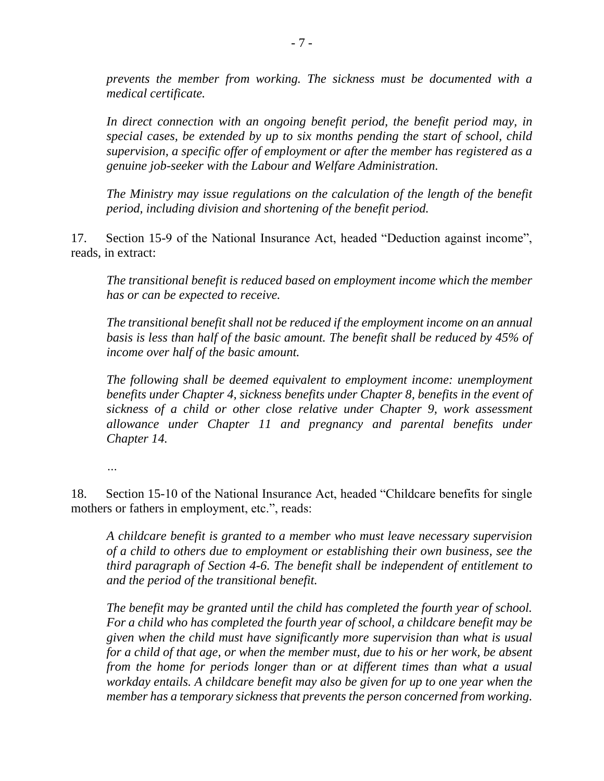*prevents the member from working. The sickness must be documented with a medical certificate.*

*In direct connection with an ongoing benefit period, the benefit period may, in special cases, be extended by up to six months pending the start of school, child supervision, a specific offer of employment or after the member has registered as a genuine job-seeker with the Labour and Welfare Administration.*

*The Ministry may issue regulations on the calculation of the length of the benefit period, including division and shortening of the benefit period.*

17. Section 15-9 of the National Insurance Act, headed "Deduction against income", reads, in extract:

*The transitional benefit is reduced based on employment income which the member has or can be expected to receive.*

*The transitional benefit shall not be reduced if the employment income on an annual basis is less than half of the basic amount. The benefit shall be reduced by 45% of income over half of the basic amount.*

*The following shall be deemed equivalent to employment income: unemployment benefits under Chapter 4, sickness benefits under Chapter 8, benefits in the event of sickness of a child or other close relative under Chapter 9, work assessment allowance under Chapter 11 and pregnancy and parental benefits under Chapter 14.*

*…*

18. Section 15-10 of the National Insurance Act, headed "Childcare benefits for single mothers or fathers in employment, etc.", reads:

*A childcare benefit is granted to a member who must leave necessary supervision of a child to others due to employment or establishing their own business, see the third paragraph of Section 4-6. The benefit shall be independent of entitlement to and the period of the transitional benefit.* 

*The benefit may be granted until the child has completed the fourth year of school. For a child who has completed the fourth year of school, a childcare benefit may be given when the child must have significantly more supervision than what is usual for a child of that age, or when the member must, due to his or her work, be absent from the home for periods longer than or at different times than what a usual workday entails. A childcare benefit may also be given for up to one year when the member has a temporary sickness that prevents the person concerned from working.*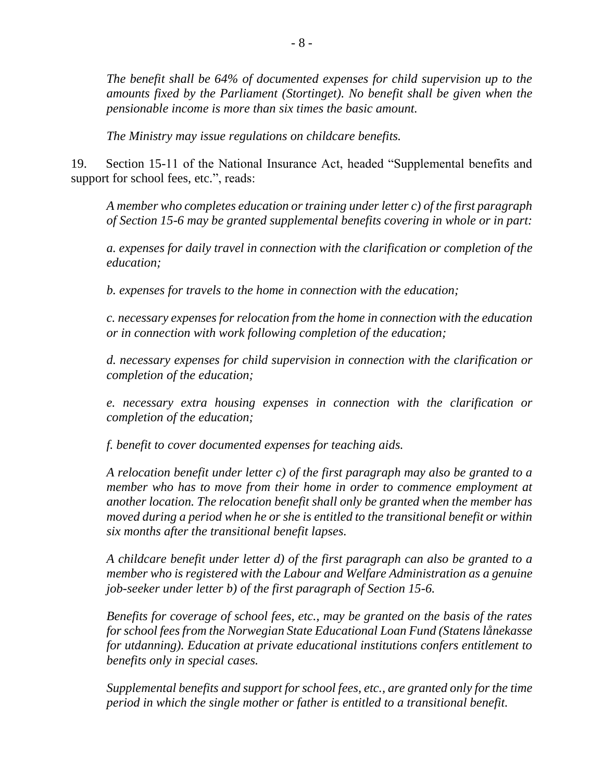*The benefit shall be 64% of documented expenses for child supervision up to the amounts fixed by the Parliament (Stortinget). No benefit shall be given when the pensionable income is more than six times the basic amount.*

*The Ministry may issue regulations on childcare benefits.*

19. Section 15-11 of the National Insurance Act, headed "Supplemental benefits and support for school fees, etc.", reads:

*A member who completes education or training under letter c) of the first paragraph of Section 15-6 may be granted supplemental benefits covering in whole or in part:*

*a. expenses for daily travel in connection with the clarification or completion of the education;*

*b. expenses for travels to the home in connection with the education;*

*c. necessary expenses for relocation from the home in connection with the education or in connection with work following completion of the education;*

*d. necessary expenses for child supervision in connection with the clarification or completion of the education;*

*e. necessary extra housing expenses in connection with the clarification or completion of the education;*

*f. benefit to cover documented expenses for teaching aids.*

*A relocation benefit under letter c) of the first paragraph may also be granted to a member who has to move from their home in order to commence employment at another location. The relocation benefit shall only be granted when the member has moved during a period when he or she is entitled to the transitional benefit or within six months after the transitional benefit lapses.*

*A childcare benefit under letter d) of the first paragraph can also be granted to a member who is registered with the Labour and Welfare Administration as a genuine job-seeker under letter b) of the first paragraph of Section 15-6.*

*Benefits for coverage of school fees, etc., may be granted on the basis of the rates for school fees from the Norwegian State Educational Loan Fund (Statens lånekasse for utdanning). Education at private educational institutions confers entitlement to benefits only in special cases.*

*Supplemental benefits and support for school fees, etc., are granted only for the time period in which the single mother or father is entitled to a transitional benefit.*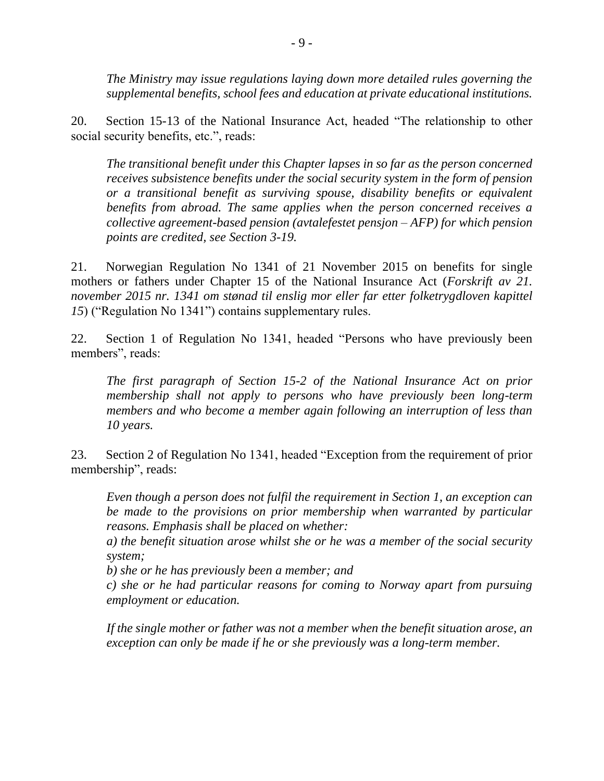*The Ministry may issue regulations laying down more detailed rules governing the supplemental benefits, school fees and education at private educational institutions.*

20. Section 15-13 of the National Insurance Act, headed "The relationship to other social security benefits, etc.", reads:

*The transitional benefit under this Chapter lapses in so far as the person concerned receives subsistence benefits under the social security system in the form of pension or a transitional benefit as surviving spouse, disability benefits or equivalent benefits from abroad. The same applies when the person concerned receives a collective agreement-based pension (avtalefestet pensjon – AFP) for which pension points are credited, see Section 3-19.*

21. Norwegian Regulation No 1341 of 21 November 2015 on benefits for single mothers or fathers under Chapter 15 of the National Insurance Act (*Forskrift av 21. november 2015 nr. 1341 om stønad til enslig mor eller far etter folketrygdloven kapittel 15*) ("Regulation No 1341") contains supplementary rules.

22. Section 1 of Regulation No 1341, headed "Persons who have previously been members", reads:

*The first paragraph of Section 15-2 of the National Insurance Act on prior membership shall not apply to persons who have previously been long-term members and who become a member again following an interruption of less than 10 years.*

23. Section 2 of Regulation No 1341, headed "Exception from the requirement of prior membership", reads:

*Even though a person does not fulfil the requirement in Section 1, an exception can be made to the provisions on prior membership when warranted by particular reasons. Emphasis shall be placed on whether:*

*a) the benefit situation arose whilst she or he was a member of the social security system;*

*b) she or he has previously been a member; and*

*c) she or he had particular reasons for coming to Norway apart from pursuing employment or education.*

*If the single mother or father was not a member when the benefit situation arose, an exception can only be made if he or she previously was a long-term member.*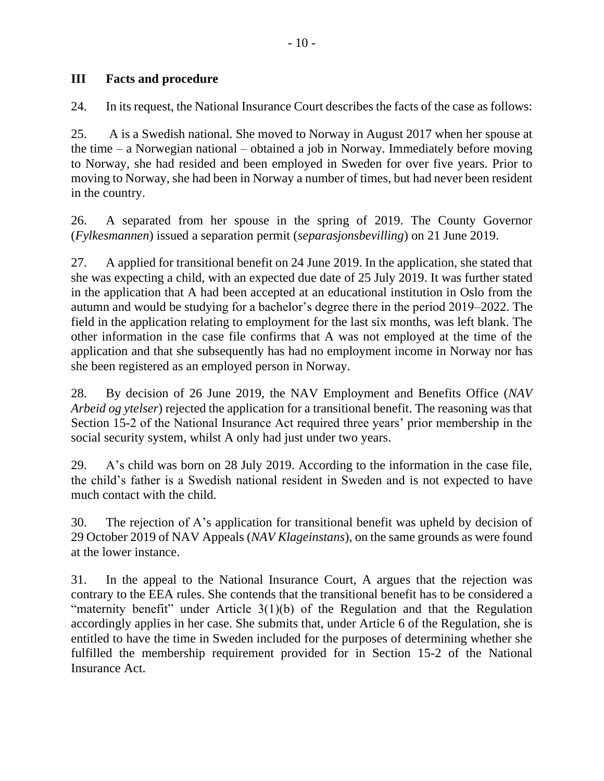### **III Facts and procedure**

24. In its request, the National Insurance Court describes the facts of the case as follows:

25. A is a Swedish national. She moved to Norway in August 2017 when her spouse at the time – a Norwegian national – obtained a job in Norway. Immediately before moving to Norway, she had resided and been employed in Sweden for over five years. Prior to moving to Norway, she had been in Norway a number of times, but had never been resident in the country.

26. A separated from her spouse in the spring of 2019. The County Governor (*Fylkesmannen*) issued a separation permit (*separasjonsbevilling*) on 21 June 2019.

27. A applied for transitional benefit on 24 June 2019. In the application, she stated that she was expecting a child, with an expected due date of 25 July 2019. It was further stated in the application that A had been accepted at an educational institution in Oslo from the autumn and would be studying for a bachelor's degree there in the period 2019–2022. The field in the application relating to employment for the last six months, was left blank. The other information in the case file confirms that A was not employed at the time of the application and that she subsequently has had no employment income in Norway nor has she been registered as an employed person in Norway.

28. By decision of 26 June 2019, the NAV Employment and Benefits Office (*NAV Arbeid og ytelser*) rejected the application for a transitional benefit. The reasoning was that Section 15-2 of the National Insurance Act required three years' prior membership in the social security system, whilst A only had just under two years.

29. A's child was born on 28 July 2019. According to the information in the case file, the child's father is a Swedish national resident in Sweden and is not expected to have much contact with the child.

30. The rejection of A's application for transitional benefit was upheld by decision of 29 October 2019 of NAV Appeals (*NAV Klageinstans*), on the same grounds as were found at the lower instance.

31. In the appeal to the National Insurance Court, A argues that the rejection was contrary to the EEA rules. She contends that the transitional benefit has to be considered a "maternity benefit" under Article  $3(1)(b)$  of the Regulation and that the Regulation accordingly applies in her case. She submits that, under Article 6 of the Regulation, she is entitled to have the time in Sweden included for the purposes of determining whether she fulfilled the membership requirement provided for in Section 15-2 of the National Insurance Act.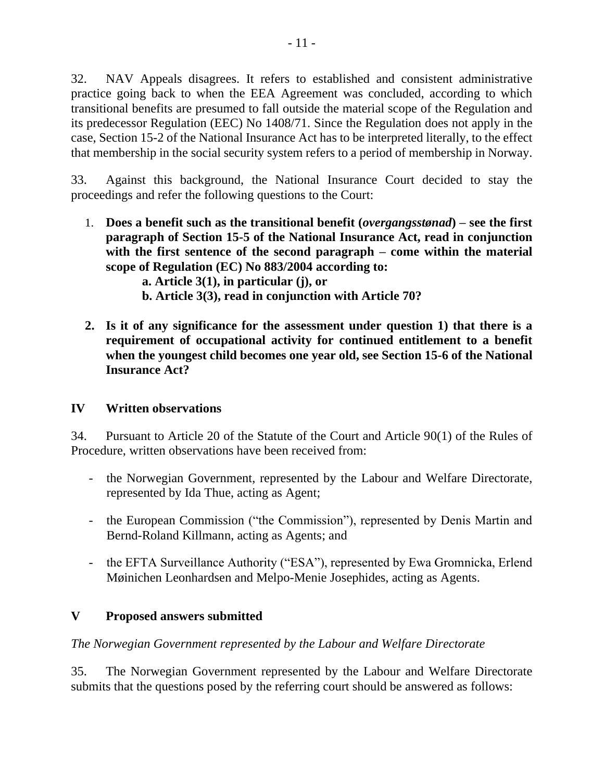32. NAV Appeals disagrees. It refers to established and consistent administrative practice going back to when the EEA Agreement was concluded, according to which transitional benefits are presumed to fall outside the material scope of the Regulation and its predecessor Regulation (EEC) No 1408/71. Since the Regulation does not apply in the case, Section 15-2 of the National Insurance Act has to be interpreted literally, to the effect that membership in the social security system refers to a period of membership in Norway.

33. Against this background, the National Insurance Court decided to stay the proceedings and refer the following questions to the Court:

- 1. **Does a benefit such as the transitional benefit (***overgangsstønad***) – see the first paragraph of Section 15-5 of the National Insurance Act, read in conjunction with the first sentence of the second paragraph – come within the material scope of Regulation (EC) No 883/2004 according to:**
	- **a. Article 3(1), in particular (j), or**
	- **b. Article 3(3), read in conjunction with Article 70?**
- **2. Is it of any significance for the assessment under question 1) that there is a requirement of occupational activity for continued entitlement to a benefit when the youngest child becomes one year old, see Section 15-6 of the National Insurance Act?**

#### **IV Written observations**

34. Pursuant to Article 20 of the Statute of the Court and Article 90(1) of the Rules of Procedure, written observations have been received from:

- the Norwegian Government, represented by the Labour and Welfare Directorate, represented by Ida Thue, acting as Agent;
- the European Commission ("the Commission"), represented by Denis Martin and Bernd-Roland Killmann, acting as Agents; and
- the EFTA Surveillance Authority ("ESA"), represented by Ewa Gromnicka, Erlend Møinichen Leonhardsen and Melpo-Menie Josephides, acting as Agents.

## **V Proposed answers submitted**

#### *The Norwegian Government represented by the Labour and Welfare Directorate*

35. The Norwegian Government represented by the Labour and Welfare Directorate submits that the questions posed by the referring court should be answered as follows: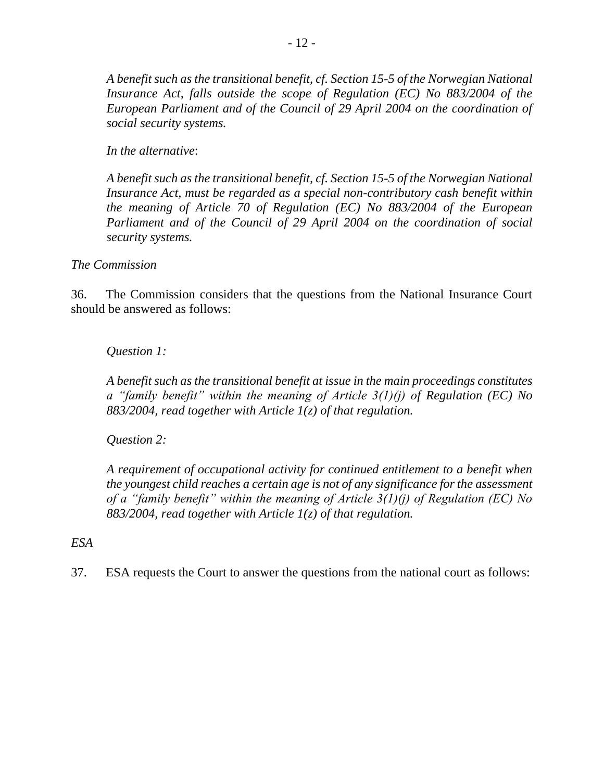*A benefit such as the transitional benefit, cf. Section 15-5 of the Norwegian National Insurance Act, falls outside the scope of Regulation (EC) No 883/2004 of the European Parliament and of the Council of 29 April 2004 on the coordination of social security systems.*

*In the alternative*:

*A benefit such as the transitional benefit, cf. Section 15-5 of the Norwegian National Insurance Act, must be regarded as a special non-contributory cash benefit within the meaning of Article 70 of Regulation (EC) No 883/2004 of the European Parliament and of the Council of 29 April 2004 on the coordination of social security systems.*

*The Commission*

36. The Commission considers that the questions from the National Insurance Court should be answered as follows:

### *Question 1:*

*A benefit such as the transitional benefit at issue in the main proceedings constitutes a "family benefit" within the meaning of Article 3(1)(j) of Regulation (EC) No 883/2004, read together with Article 1(z) of that regulation.*

## *Question 2:*

*A requirement of occupational activity for continued entitlement to a benefit when the youngest child reaches a certain age is not of any significance for the assessment of a "family benefit" within the meaning of Article 3(1)(j) of Regulation (EC) No 883/2004, read together with Article 1(z) of that regulation.*

#### *ESA*

37. ESA requests the Court to answer the questions from the national court as follows: